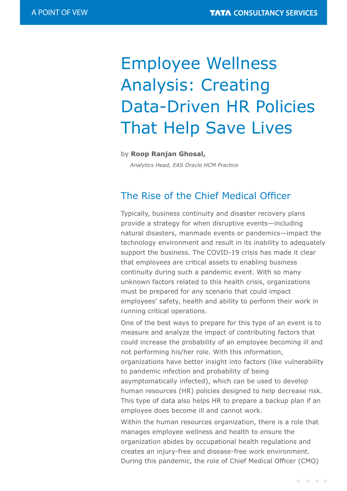# Employee Wellness Analysis: Creating Data-Driven HR Policies That Help Save Lives

#### by **Roop Ranjan Ghosal,**

 *Analytics Head, EAS Oracle HCM Practice*

### The Rise of the Chief Medical Officer

Typically, business continuity and disaster recovery plans provide a strategy for when disruptive events—including natural disasters, manmade events or pandemics—impact the technology environment and result in its inability to adequately support the business. The COVID-19 crisis has made it clear that employees are critical assets to enabling business continuity during such a pandemic event. With so many unknown factors related to this health crisis, organizations must be prepared for any scenario that could impact employees' safety, health and ability to perform their work in running critical operations.

One of the best ways to prepare for this type of an event is to measure and analyze the impact of contributing factors that could increase the probability of an employee becoming ill and not performing his/her role. With this information, organizations have better insight into factors (like vulnerability to pandemic infection and probability of being asymptomatically infected), which can be used to develop human resources (HR) policies designed to help decrease risk. This type of data also helps HR to prepare a backup plan if an employee does become ill and cannot work.

Within the human resources organization, there is a role that manages employee wellness and health to ensure the organization abides by occupational health regulations and creates an injury-free and disease-free work environment. During this pandemic, the role of Chief Medical Officer (CMO)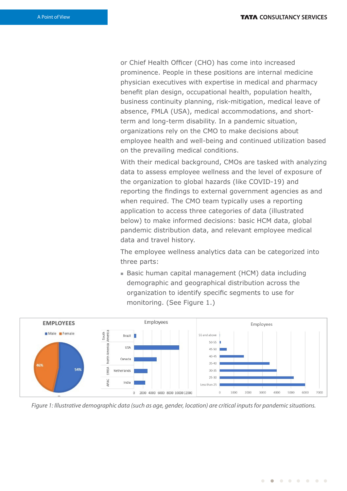or Chief Health Officer (CHO) has come into increased prominence. People in these positions are internal medicine physician executives with expertise in medical and pharmacy benefit plan design, occupational health, population health, business continuity planning, risk-mitigation, medical leave of absence, FMLA (USA), medical accommodations, and shortterm and long-term disability. In a pandemic situation, organizations rely on the CMO to make decisions about employee health and well-being and continued utilization based on the prevailing medical conditions.

With their medical background, CMOs are tasked with analyzing data to assess employee wellness and the level of exposure of the organization to global hazards (like COVID-19) and reporting the findings to external government agencies as and when required. The CMO team typically uses a reporting application to access three categories of data (illustrated below) to make informed decisions: basic HCM data, global pandemic distribution data, and relevant employee medical data and travel history.

The employee wellness analytics data can be categorized into three parts:

■ Basic human capital management (HCM) data including demographic and geographical distribution across the organization to identify specific segments to use for monitoring. (See Figure 1.)



Figure 1: Illustrative demographic data (such as age, gender, location) are critical inputs for pandemic situations.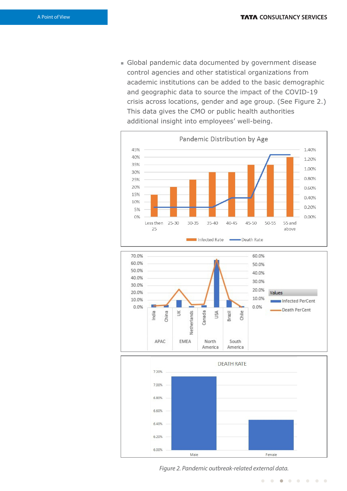<sup>n</sup> Global pandemic data documented by government disease control agencies and other statistical organizations from academic institutions can be added to the basic demographic and geographic data to source the impact of the COVID-19 crisis across locations, gender and age group. (See Figure 2.) This data gives the CMO or public health authorities additional insight into employees' well-being.







Figure 2. Pandemic outbreak-related external data.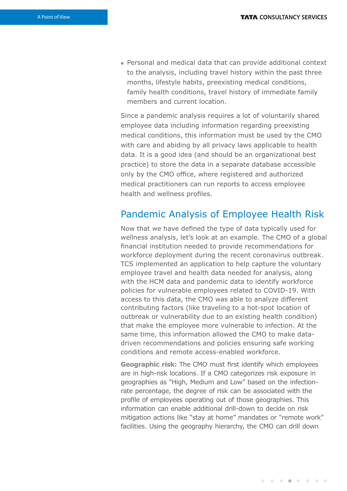<sup>n</sup> Personal and medical data that can provide additional context to the analysis, including travel history within the past three months, lifestyle habits, preexisting medical conditions, family health conditions, travel history of immediate family members and current location.

Since a pandemic analysis requires a lot of voluntarily shared employee data including information regarding preexisting medical conditions, this information must be used by the CMO with care and abiding by all privacy laws applicable to health data. It is a good idea (and should be an organizational best practice) to store the data in a separate database accessible only by the CMO office, where registered and authorized medical practitioners can run reports to access employee health and wellness profiles.

## Pandemic Analysis of Employee Health Risk

Now that we have defined the type of data typically used for wellness analysis, let's look at an example. The CMO of a global nancial institution needed to provide recommendations for workforce deployment during the recent coronavirus outbreak. TCS implemented an application to help capture the voluntary employee travel and health data needed for analysis, along with the HCM data and pandemic data to identify workforce policies for vulnerable employees related to COVID-19. With access to this data, the CMO was able to analyze different contributing factors (like traveling to a hot-spot location of outbreak or vulnerability due to an existing health condition) that make the employee more vulnerable to infection. At the same time, this information allowed the CMO to make datadriven recommendations and policies ensuring safe working conditions and remote access-enabled workforce.

**Geographic risk:** The CMO must first identify which employees are in high-risk locations. If a CMO categorizes risk exposure in geographies as "High, Medium and Low" based on the infectionrate percentage, the degree of risk can be associated with the profile of employees operating out of those geographies. This information can enable additional drill-down to decide on risk mitigation actions like "stay at home" mandates or "remote work" facilities. Using the geography hierarchy, the CMO can drill down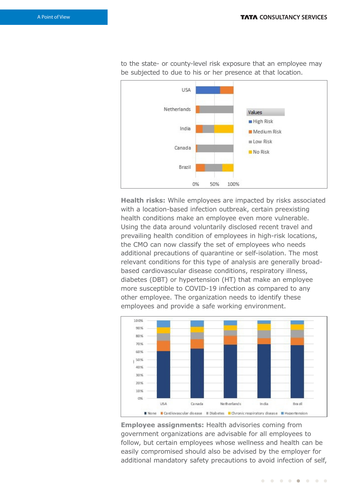to the state- or county-level risk exposure that an employee may be subjected to due to his or her presence at that location.



**Health risks:** While employees are impacted by risks associated with a location-based infection outbreak, certain preexisting health conditions make an employee even more vulnerable. Using the data around voluntarily disclosed recent travel and prevailing health condition of employees in high-risk locations, the CMO can now classify the set of employees who needs additional precautions of quarantine or self-isolation. The most relevant conditions for this type of analysis are generally broadbased cardiovascular disease conditions, respiratory illness, diabetes (DBT) or hypertension (HT) that make an employee more susceptible to COVID-19 infection as compared to any other employee. The organization needs to identify these employees and provide a safe working environment.



**Employee assignments:** Health advisories coming from government organizations are advisable for all employees to follow, but certain employees whose wellness and health can be easily compromised should also be advised by the employer for additional mandatory safety precautions to avoid infection of self,

. . . . . . .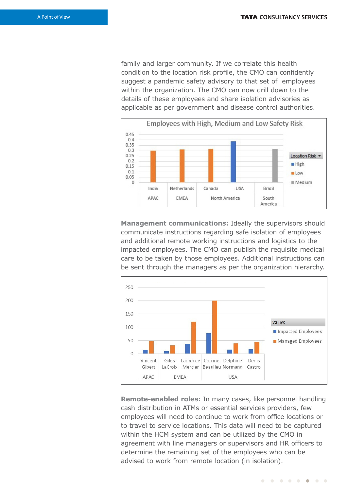family and larger community. If we correlate this health condition to the location risk profile, the CMO can confidently suggest a pandemic safety advisory to that set of employees within the organization. The CMO can now drill down to the details of these employees and share isolation advisories as applicable as per government and disease control authorities.



**Management communications:** Ideally the supervisors should communicate instructions regarding safe isolation of employees and additional remote working instructions and logistics to the impacted employees. The CMO can publish the requisite medical care to be taken by those employees. Additional instructions can be sent through the managers as per the organization hierarchy.



**Remote-enabled roles:** In many cases, like personnel handling cash distribution in ATMs or essential services providers, few employees will need to continue to work from office locations or to travel to service locations. This data will need to be captured within the HCM system and can be utilized by the CMO in agreement with line managers or supervisors and HR officers to determine the remaining set of the employees who can be advised to work from remote location (in isolation).

. . . . . . . .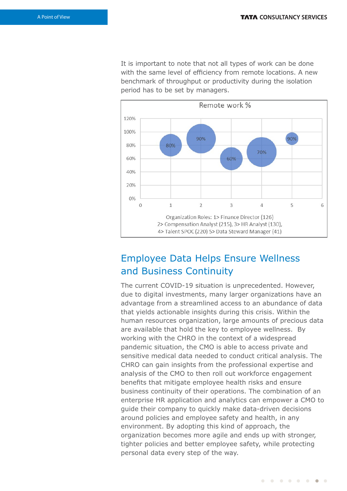It is important to note that not all types of work can be done with the same level of efficiency from remote locations. A new benchmark of throughput or productivity during the isolation period has to be set by managers.



## Employee Data Helps Ensure Wellness and Business Continuity

The current COVID-19 situation is unprecedented. However, due to digital investments, many larger organizations have an advantage from a streamlined access to an abundance of data that yields actionable insights during this crisis. Within the human resources organization, large amounts of precious data are available that hold the key to employee wellness. By working with the CHRO in the context of a widespread pandemic situation, the CMO is able to access private and sensitive medical data needed to conduct critical analysis. The CHRO can gain insights from the professional expertise and analysis of the CMO to then roll out workforce engagement benefits that mitigate employee health risks and ensure business continuity of their operations. The combination of an enterprise HR application and analytics can empower a CMO to guide their company to quickly make data-driven decisions around policies and employee safety and health, in any environment. By adopting this kind of approach, the organization becomes more agile and ends up with stronger, tighter policies and better employee safety, while protecting personal data every step of the way.